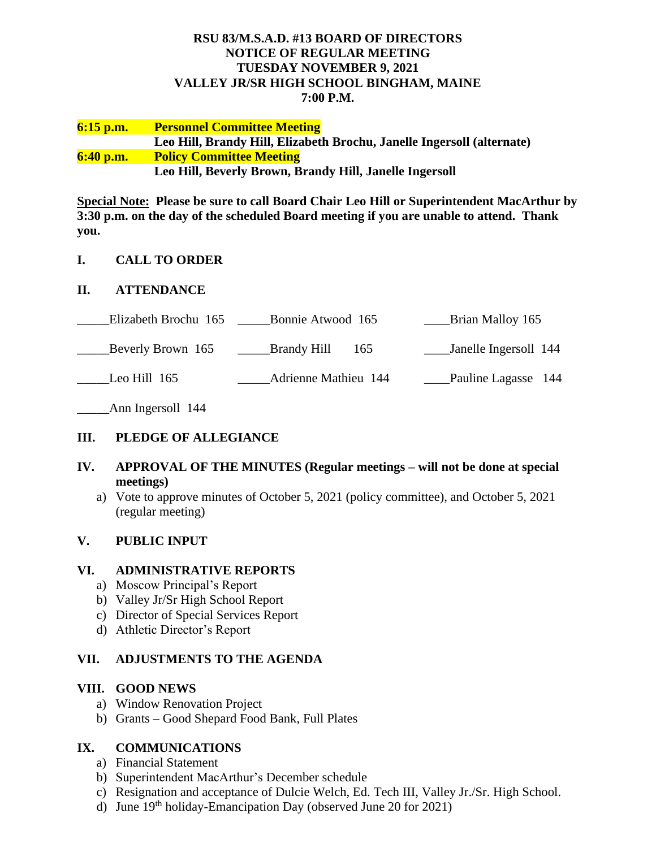# **RSU 83/M.S.A.D. #13 BOARD OF DIRECTORS NOTICE OF REGULAR MEETING TUESDAY NOVEMBER 9, 2021 VALLEY JR/SR HIGH SCHOOL BINGHAM, MAINE 7:00 P.M.**

#### **6:15 p.m. Personnel Committee Meeting Leo Hill, Brandy Hill, Elizabeth Brochu, Janelle Ingersoll (alternate) 6:40 p.m. Policy Committee Meeting Leo Hill, Beverly Brown, Brandy Hill, Janelle Ingersoll**

**Special Note: Please be sure to call Board Chair Leo Hill or Superintendent MacArthur by 3:30 p.m. on the day of the scheduled Board meeting if you are unable to attend. Thank you.**

#### **I. CALL TO ORDER**

#### **II. ATTENDANCE**

| Elizabeth Brochu 165 | Bonnie Atwood 165                    | Brian Malloy 165      |
|----------------------|--------------------------------------|-----------------------|
| Beverly Brown 165    | <b>Example 19 Brandy Hill</b><br>165 | Janelle Ingersoll 144 |
| Leo Hill 165         | <b>Adrienne Mathieu 144</b>          | Pauline Lagasse 144   |

Ann Ingersoll 144

# **III. PLEDGE OF ALLEGIANCE**

#### **IV. APPROVAL OF THE MINUTES (Regular meetings – will not be done at special meetings)**

a) Vote to approve minutes of October 5, 2021 (policy committee), and October 5, 2021 (regular meeting)

# **V. PUBLIC INPUT**

#### **VI. ADMINISTRATIVE REPORTS**

- a) Moscow Principal's Report
- b) Valley Jr/Sr High School Report
- c) Director of Special Services Report
- d) Athletic Director's Report

#### **VII. ADJUSTMENTS TO THE AGENDA**

#### **VIII. GOOD NEWS**

- a) Window Renovation Project
- b) Grants Good Shepard Food Bank, Full Plates

# **IX. COMMUNICATIONS**

- a) Financial Statement
- b) Superintendent MacArthur's December schedule
- c) Resignation and acceptance of Dulcie Welch, Ed. Tech III, Valley Jr./Sr. High School.
- d) June  $19<sup>th</sup>$  holiday-Emancipation Day (observed June 20 for 2021)